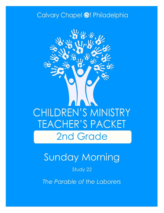### Calvary Chapel @f Philadelphia



# Sunday Morning

### Study 22

*The Parable of the Laborers*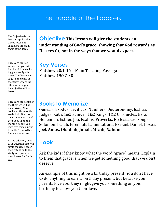### The Parable of the Laborers

The Objective is the key concept for this weeks lesson. It should be the main focus of the study

These are the key verses that you will find helpful in teaching your study this week. The "Main passage" is the basis of the study, where the other verse support the objective of the lesson.

These are the books of the Bible we will be memorizing. New books for this month are in bold. If a student can memorize all the books up to this month's books, you may give them a prize from the "reward box" found on your cart.

An introductory activity or question that will settle the class, draw their attention to the study and prepare their hearts for God's Word.

**Objective This lesson will give the students an understanding of God's grace, showing that God rewards as He sees fit, not in the ways that we would expect.**

#### **Key Verses**

Matthew 20:1-16—Main Teaching Passage Matthew 19:27-30

#### **Books to Memorize**

Genesis, Exodus, Leviticus, Numbers, Deuteronomy, Joshua, Judges, Ruth, 1&2 Samuel, 1&2 Kings, 1&2 Chronicles, Ezra, Nehemiah, Esther, Job, Psalms, Proverbs, Ecclesiastes, Song of Solomon, Isaiah, Jeremiah, Lamentations, Ezekiel, Daniel, Hosea, Joel, **Amos, Obadiah, Jonah, Micah, Nahum**

### **Hook**

Ask the kids if they know what the word "grace" means. Explain to them that grace is when we get something good that we don't deserve.

An example of this might be a birthday present. You don't have to do anything to earn a birthday present, but because your parents love you, they might give you something on your birthday to show you their love.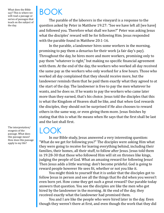What does the Bible say? This is where we will read a passage or series of passages that teach on the subject of the day.

The interpretation/ exegesis of the passage. What does this passage mean? How does this passage apply to my life?

# BOOK

The parable of the laborers in the vineyard is a response to the question asked by Peter in Matthew 19:27: "See we have left all [we have] and followed you. Therefore what shall we have?" Peter was asking Jesus what the disciples' reward will be for following Him. Jesus responded with the parable found in Matthew 20:1-16.

In the parable, a landowner hires some workers in the morning, promising to pay them a denarius for their work (a fair day's pay). Throughout the day, he hires more and more workers, promising only to pay them "whatever is right," but making no specific financial agreement with them. At the end of the day, the workers who worked all day received the same pay as the workers who only worked for a few hours. Those who worked all day complained that they should receive more, but the landowner reminds them that he paid them exactly what they agreed to at the start of the day. The landowner is free to pay the men whatever he wants, and he does so. If he wants to pay the workers who came later more than they earned, that's his choice. Jesus told the disciples that this is what the Kingdom of Heaven shall be like, and that when God rewards the disciples, they should not be surprised if He also chooses to reward others in the same way, or even giving them more. Jesus finishes by stating that this is what He means when He says that the first shall be last and the last shall first.

### LOOK

In our Bible study, Jesus answered a very interesting question: "What do we get for following you?" The disciples were asking Him what they were going to receive for leaving everything behind, including their families, their homes, all their stuff, to follow after Jesus. Jesus told them in 19:28-30 that those who followed Him will sit on thrones like kings, judging the people of God. What an amazing reward for following Jesus! Then Jesus adds a little warning: don't become prideful. God is going to reward people however He sees fit, whether or not you like it.

You might think to yourself that it is unfair that the disciples got to follow Jesus in person and see all the things that He did when you weren't even born yet. How come they get such a great reward? Our parable today answers that question. You see the disciples are like the men who got hired by the landowner in the morning. At the end of the day, they received exactly what the landowner had promised them.

You and I are like the people who were hired later in the day. Even though they weren't there at first, and even though the work that they did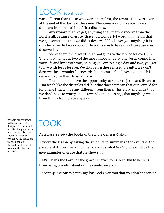## LOOK (Continued)

was different than those who were there first, the reward that was given at the end of the day was the same. The same way, our reward is no different from that of Jesus' first disciples.

Any reward that we get, anything at all that we receive from the Lord is all, because of grace. Grace is a wonderful word that means that we get something that we didn't deserve. If God gives you anything it is only because He loves you and He wants you to have it, not because you deserved it.

So what are the rewards that God gives to those who follow Him? There are many, but two of the most important are: one, Jesus comes into your life and lives with you, helping you every single day, and two, you get to live with Jesus forever. We don't earn these incredible gifts, we don't deserve these wonderful rewards, but because God loves us so much He desires to give them to us anyway.

You and I don't have the opportunity to speak to Jesus and listen to Him teach like the disciples did, but that doesn't mean that our reward for following Him will be any different from theirs. This story shows us that we don't have to worry about rewards and blessings, that anything we get from Him is from grace anyway.

What is my response to this passage of Scripture? How should my life change according to what this passage teaches me? What are the practical things I can do throughout the week to make this true in

my life?

# TOOK

As a class, review the books of the Bible Genesis-Nahum.

Review the lesson by asking the students to summarize the events of the parable. Ask how the landowner shows us what God's grace is. Have them give examples of grace that He shows us.

**Pray:** Thank the Lord for the grace He gives to us. Ask Him to keep us from being prideful about our heavenly rewards.

**Parent Question:** What things has God given you that you don't deserve?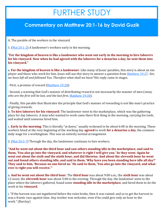### FURTHER STUDY

### **Commentary on Matthew 20:1-16 by David Guzik**

A. The parable of the workers in the vineyard.

1. [\(Mat 20:1](https://www.blueletterbible.org/kjv/matthew/20/1-2/s_949001)-2) A landowner's workers early in the morning.

**"For the kingdom of heaven is like a landowner who went out early in the morning to hire laborers for his vineyard. Now when he had agreed with the laborers for a denarius a day, he sent them into his vineyard."**

a. **For the kingdom of heaven is like a landowner**: Like many of Jesus' parables, this story is about an employer and those who work for him. Jesus will use this story to answer a question from [Matthew 19:27:](https://www.blueletterbible.org/kjv/matthew/19/27/s_948027) *See, we have left all and followed You. Therefore what shall we have?* His reply came in stages.

 $\cdot$  First, a promise of reward ([Matthew 19:28\)](https://www.blueletterbible.org/kjv/matthew/19/28/s_948028).

· Second, a warning that God's manner of distributing reward is not necessarily the manner of men (*many who are the first will be last, and the last first*, [Matthew 19:30\).](https://www.blueletterbible.org/kjv/matthew/19/30/s_948030)

· Finally, this parable that illustrates the principle that God's manner of rewarding is not like man's practice of giving rewards.

b. **To hire laborers for his vineyard**: The landowner went to the marketplace, which was the gathering place for day laborers. A man who wanted to work came there first thing in the morning, carrying his tools, and waited until someone hired him.

c. **Early in the morning**: This is literally "at dawn," usually reckoned to be about 6:00 in the morning. These workers hired at the very beginning of the working day **agreed** to work **for a denarius a day**, the common daily wage for a workingman. This was an entirely normal arrangement.

2. [\(Mat 20:3](https://www.blueletterbible.org/kjv/matthew/20/3-7/s_949003)-7) Through the day, the landowner continues to hire workers.

**"And he went out about the third hour and saw others standing idle in the marketplace, and said to them, 'You also go into the vineyard, and whatever is right I will give you.' So they went. Again he went out about the sixth and the ninth hour, and did likewise. And about the eleventh hour he went out and found others standing idle, and said to them, 'Why have you been standing here idle all day?' They said to him, 'Because no one hired us.' He said to them, 'You also go into the vineyard, and whatever is right you will receive.'"**

a. **And he went out about the third hour**: The **third hour** was about 9:00 a.m.; the **sixth hour** was about 12 noon; the **eleventh hour** was about 5:00 in the evening. Through the day, the landowner went to the place where the laborers gathered, found some **standing idle in the marketplace**, and hired them to do the work in his **vineyard**.

i. "If the harvest was not ingathered before the rains broke, then it was ruined; and so to get the harvest in was a frantic race against time. Any worker was welcome, even if he could give only an hour to the work." (Barclay)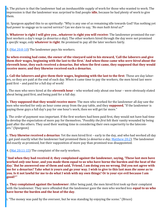ii. The picture is that the landowner had an inexhaustible supply of work for those who wanted to work. The impression is that the landowner was *surprised* to find people **idle**, because he had plenty of work to give them.

iii. Spurgeon applied this to us spiritually: "Why is any one of *us* remaining idle towards God? Has nothing yet had power to engage us to sacred service? Can we dare to say, '*No man hath hired us?*"

b. **Whatever is right I will give you…whatever is right you will receive**: The landowner promised the earliest workers a day's wage (*a denarius a day*). The other workers hired through the day were not promised a *specific* wage, only **whatever is right**. He promised to pay all the later workers fairly.

3. ([Mat 20:8](https://www.blueletterbible.org/kjv/matthew/20/8-10/s_949008)-10) The landowner pays his workers.

**So when evening had come, the owner of the vineyard said to his steward, 'Call the laborers and give them** *their* **wages, beginning with the last to the first.' And when those came who** *were hired* **about the eleventh hour, they each received a denarius. But when the first came, they supposed that they would receive more; and they likewise received each a denarius.**

a. **Call the laborers and give them their wages, beginning with the last to the first**: These are day laborers, so they are paid at the end of each day. When it came time to pay the workers, the men hired last were paid first – and paid for a full day of work!

i. The men who were hired at the **eleventh hour** – who worked only about one hour – were obviously elated about being paid first, and being paid for a full day.

b. **They supposed that they would receive more**: The men who worked for the landowner all day saw the men who worked for only an hour come away from the pay table, and they **supposed**, "If the landowner is paying these guys a full day's pay for one hour's work, then we will get far more."

i. The *order* of payment was important. If the first workers had been paid first, they would not have had time to develop the expectation of more pay for themselves. "Possibly *the first* felt their vanity wounded by being paid after the others. They used their waiting time in considering their own superiority to the latecomers." (Spurgeon)

c. **They likewise received a denarius**: Yet the men hired first – early in the day, and who had worked all day – got paid exactly what the landowner had promised them (*a denarius a day*, [Matthew 20:2\)](https://www.blueletterbible.org/kjv/matthew/20/2/s_949002). The landowner did exactly as promised, but their supposition of more pay than promised was disappointed.

4. ([Mat 20:11](https://www.blueletterbible.org/kjv/matthew/20/11-15/s_949011)-15) The complaint of the early workers.

**"And when they had received** *it,* **they complained against the landowner, saying, 'These last** *men* **have worked** *only* **one hour, and you made them equal to us who have borne the burden and the heat of the day.' But he answered one of them and said, 'Friend, I am doing you no wrong. Did you not agree with me for a denarius? Take** *what is* **yours and go your way. I wish to give to this last man** *the same* **as to you. Is it not lawful for me to do what I wish with my own things? Or is your eye evil because I am good?'"**

a. **They complained against the landowner**: After being paid, the men hired first took up their complaint with the landowner. They were offended that the landowner gave the men who worked less **equal to us who have borne the burden and the heat of the day**.

i. "The money was paid by the overseer, but he was standing by enjoying the scene." (Bruce)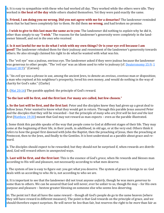ii. It is easy to sympathize with these who had worked all day. They worked while the others were idle. They worked in **the heat of the day** while others shaded themselves. Yet they were paid exactly the same.

b. **Friend, I am doing you no wrong. Did you not agree with me for a denarius?** The landowner reminded them that he had been completely fair to them. He did them **no wrong**, and had broken no promise.

c. **I wish to give to this last man the same as to you**: The landowner did nothing to *explain* why he did it, other than simply to say "**I wish**." The reasons for the landowner's generosity were completely in the landowner himself, and *not in the ones who received*.

d. **Is it not lawful for me to do what I wish with my own things? Or is your eye evil because I am good?** The landowner rebuked them for their jealousy and resentment of the landowner's generosity towards others. He also strongly claimed his right to do what he wanted with what was his.

i. The "evil eye" was a jealous, envious eye. The landowner asked if they were jealous because the landowner was generous to other people. "The 'evil eye' was an idiom used to refer to jealousy (cf. [Deuteronomy 15:9;](https://www.blueletterbible.org/kjv/deuteronomy/15/9/s_168009) 1 [Samuel 18:9\)](https://www.blueletterbible.org/kjv/1samuel/18/9/s_254009)." (Carson)

ii. "An *evil eye* was a phrase in use, among the ancient Jews, to denote an *envious*, *covetous* man or disposition; a man who repined at his neighbour's prosperity, loved his own money, and would do nothing in the way of charity for God's sake." (Clarke)

5. ([Mat 20:16\)](https://www.blueletterbible.org/kjv/matthew/20/16/s_949016) The parable applied: the principle of God's reward.

#### **"So the last will be first, and the first last. For many are called, but few chosen."**

a. **So the last will be first, and the first last**: Peter and the disciples knew they had given up a great deal to follow Jesus. Peter wanted to know what they would get in return. Through this parable Jesus assured Peter and the disciples that they will be rewarded – but the principle of *many who are first will be last and the last first* [\(Matthew 19:30\)](https://www.blueletterbible.org/kjv/matthew/19/30/s_948030) meant that God may not reward as man expects – even as the parable illustrated.

i. Some think this parable speaks of the way that people come to God at different stages of their life. They may come at the beginning of their life, in their youth, in adulthood, in old age, or at the very end. Others think it refers to how the gospel first dawned with John the Baptist, then the preaching of Jesus, then the preaching at Pentecost, then to the Jews, and finally to the Gentiles. It is best understood as a parable about grace and reward.

ii. The disciples should expect to be rewarded; but they should not be surprised if, when rewards are distributed, God will reward others in unexpected ways.

b. **Last will be first, and the first last**: This is the essence of God's *grace*, when He rewards and blesses man according to His will and pleasure, not necessarily according to what men deserve.

i. The system of law is easy to figure out: you get what you deserve. The system of grace is foreign to us: God deals with us according to who *He* is, not according to who *we* are.

ii. It is important to see that the landowner did not treat anyone *unfairly*, though he was more *generous* to some than to others. We can be assured that God will never, ever be unfair to us, though He may – for His own purpose and pleasure – bestow greater blessing on someone else who seems less deserving.

iii. The point isn't that all have the same reward – though all God's people do go to the same heaven (where they will have reward in different measure). The point is that God rewards on the principle of grace, and we should therefore expect surprises. He will never be *less* than fair, but reserves the right to be *more* than fair as